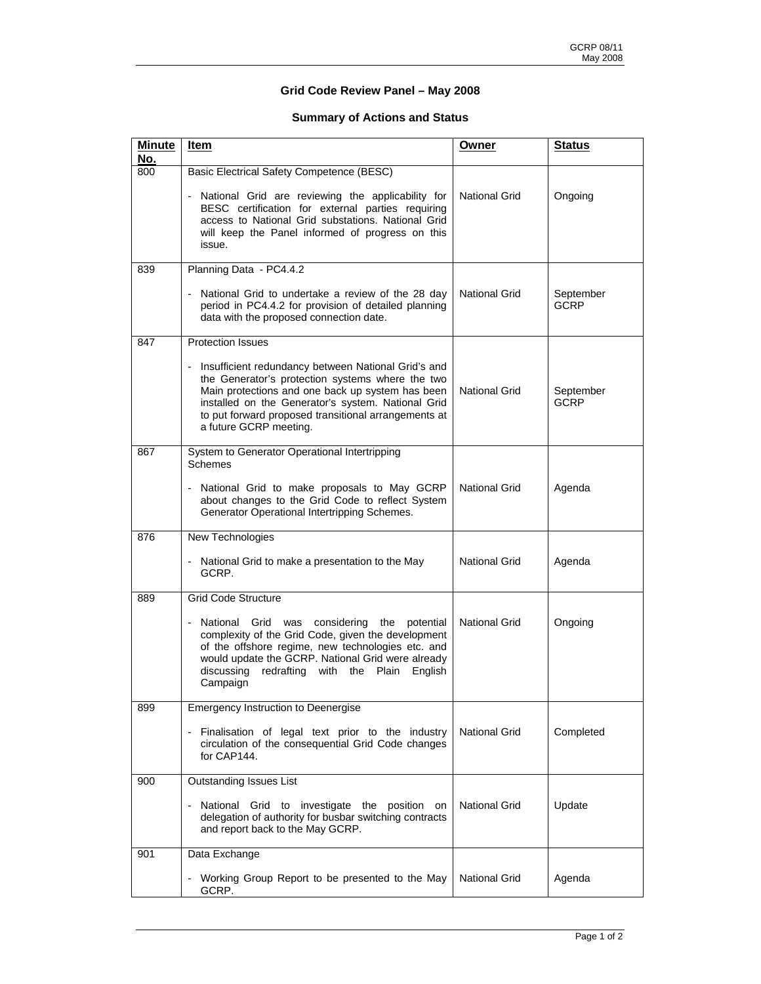## **Grid Code Review Panel – May 2008**

## **Summary of Actions and Status**

| <b>Minute</b><br>No. | Item                                                                                                                                                                                                                                                                                                | Owner                | <b>Status</b>            |
|----------------------|-----------------------------------------------------------------------------------------------------------------------------------------------------------------------------------------------------------------------------------------------------------------------------------------------------|----------------------|--------------------------|
| 800                  | Basic Electrical Safety Competence (BESC)                                                                                                                                                                                                                                                           |                      |                          |
|                      | - National Grid are reviewing the applicability for<br>BESC certification for external parties requiring<br>access to National Grid substations. National Grid<br>will keep the Panel informed of progress on this<br>issue.                                                                        | National Grid        | Ongoing                  |
| 839                  | Planning Data - PC4.4.2                                                                                                                                                                                                                                                                             |                      |                          |
|                      | - National Grid to undertake a review of the 28 day<br>period in PC4.4.2 for provision of detailed planning<br>data with the proposed connection date.                                                                                                                                              | National Grid        | September<br><b>GCRP</b> |
| 847                  | <b>Protection Issues</b>                                                                                                                                                                                                                                                                            |                      |                          |
|                      | Insufficient redundancy between National Grid's and<br>the Generator's protection systems where the two<br>Main protections and one back up system has been<br>installed on the Generator's system. National Grid<br>to put forward proposed transitional arrangements at<br>a future GCRP meeting. | National Grid        | September<br>GCRP        |
| 867                  | System to Generator Operational Intertripping<br><b>Schemes</b>                                                                                                                                                                                                                                     |                      |                          |
|                      | - National Grid to make proposals to May GCRP<br>about changes to the Grid Code to reflect System<br>Generator Operational Intertripping Schemes.                                                                                                                                                   | National Grid        | Agenda                   |
| 876                  | New Technologies                                                                                                                                                                                                                                                                                    |                      |                          |
|                      | - National Grid to make a presentation to the May<br>GCRP.                                                                                                                                                                                                                                          | National Grid        | Agenda                   |
| 889                  | <b>Grid Code Structure</b>                                                                                                                                                                                                                                                                          |                      |                          |
|                      | - National Grid was<br>considering the<br>potential<br>complexity of the Grid Code, given the development<br>of the offshore regime, new technologies etc. and<br>would update the GCRP. National Grid were already<br>redrafting with the Plain English<br>discussing<br>Campaign                  | National Grid        | Ongoing                  |
| 899                  | <b>Emergency Instruction to Deenergise</b>                                                                                                                                                                                                                                                          |                      |                          |
|                      | Finalisation of legal text prior to the industry<br>circulation of the consequential Grid Code changes<br>for CAP144.                                                                                                                                                                               | National Grid        | Completed                |
| 900                  | <b>Outstanding Issues List</b>                                                                                                                                                                                                                                                                      |                      |                          |
|                      | National Grid to investigate the position on<br>delegation of authority for busbar switching contracts<br>and report back to the May GCRP.                                                                                                                                                          | <b>National Grid</b> | Update                   |
| 901                  | Data Exchange                                                                                                                                                                                                                                                                                       |                      |                          |
|                      | - Working Group Report to be presented to the May<br>GCRP.                                                                                                                                                                                                                                          | National Grid        | Agenda                   |